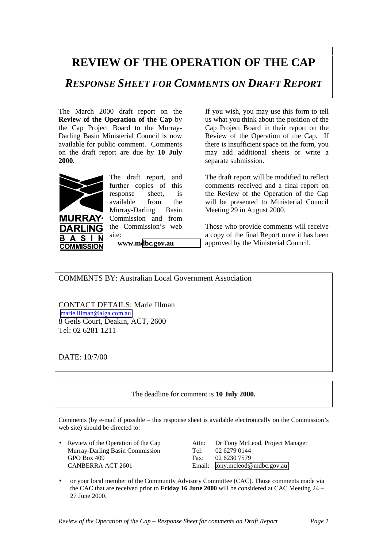## **REVIEW OF THE OPERATION OF THE CAP**

*RESPONSE SHEET FOR COMMENTS ON DRAFT REPORT*

The March 2000 draft report on the **Review of the Operation of the Cap** by the Cap Project Board to the Murray-Darling Basin Ministerial Council is now available for public comment. Comments on the draft report are due by **10 July 2000**.



 $\mathbf{A}$ **S** 

B

**URRAY·** DARI ING

**COMMISSION** 

The draft report, and further copies of this response sheet, is available from the Murray-Darling Basin Commission and from the Commission's web site:

**www.m[dbc.gov.au](http://www.mdbc.gov.au/)**

If you wish, you may use this form to tell us what you think about the position of the Cap Project Board in their report on the Review of the Operation of the Cap. If there is insufficient space on the form, you may add additional sheets or write a separate submission.

The draft report will be modified to reflect comments received and a final report on the Review of the Operation of the Cap will be presented to Ministerial Council Meeting 29 in August 2000.

Those who provide comments will receive a copy of the final Report once it has been approved by the Ministerial Council.

COMMENTS BY: Australian Local Government Association

CONTACT DETAILS: Marie Illman [marie.illman@alga.com.au](mailto:marie.illman@alga.com.au) 8 Geils Court, Deakin, ACT, 2600 Tel: 02 6281 1211

DATE: 10/7/00

## The deadline for comment is **10 July 2000.**

Comments (by e-mail if possible – this response sheet is available electronically on the Commission's web site) should be directed to:

Murray-Darling Basin Commission Tel: 02 6279 0144 GPO Box 409 Fax: 02 6230 7579 CANBERRA ACT 2601 Email: [tony.mcleod@mdbc.gov.au](mailto:tony.mcleod@mdbc.gov.au)

• Review of the Operation of the Cap Attn: Dr Tony McLeod, Project Manager

• or your local member of the Community Advisory Committee (CAC). Those comments made via the CAC that are received prior to **Friday 16 June 2000** will be considered at CAC Meeting 24 – 27 June 2000.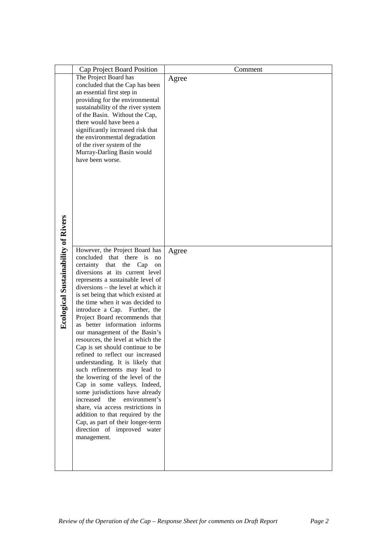|                                            | Cap Project Board Position                                      | Comment |
|--------------------------------------------|-----------------------------------------------------------------|---------|
|                                            | The Project Board has                                           | Agree   |
|                                            | concluded that the Cap has been                                 |         |
|                                            | an essential first step in                                      |         |
|                                            | providing for the environmental                                 |         |
|                                            | sustainability of the river system                              |         |
|                                            | of the Basin. Without the Cap,                                  |         |
|                                            | there would have been a<br>significantly increased risk that    |         |
|                                            | the environmental degradation                                   |         |
|                                            | of the river system of the                                      |         |
|                                            | Murray-Darling Basin would                                      |         |
|                                            | have been worse.                                                |         |
|                                            |                                                                 |         |
|                                            |                                                                 |         |
|                                            |                                                                 |         |
|                                            |                                                                 |         |
|                                            |                                                                 |         |
|                                            |                                                                 |         |
|                                            |                                                                 |         |
|                                            |                                                                 |         |
|                                            |                                                                 |         |
| <b>Ecological Sustainability of Rivers</b> |                                                                 |         |
|                                            | However, the Project Board has                                  | Agree   |
|                                            | concluded that there is<br>no<br>certainty that the Cap<br>on   |         |
|                                            | diversions at its current level                                 |         |
|                                            | represents a sustainable level of                               |         |
|                                            | diversions – the level at which it                              |         |
|                                            | is set being that which existed at                              |         |
|                                            | the time when it was decided to                                 |         |
|                                            | introduce a Cap. Further, the                                   |         |
|                                            | Project Board recommends that<br>as better information informs  |         |
|                                            | our management of the Basin's                                   |         |
|                                            | resources, the level at which the                               |         |
|                                            | Cap is set should continue to be                                |         |
|                                            | refined to reflect our increased                                |         |
|                                            | understanding. It is likely that                                |         |
|                                            | such refinements may lead to                                    |         |
|                                            | the lowering of the level of the                                |         |
|                                            | Cap in some valleys. Indeed,<br>some jurisdictions have already |         |
|                                            | increased the<br>environment's                                  |         |
|                                            | share, via access restrictions in                               |         |
|                                            | addition to that required by the                                |         |
|                                            | Cap, as part of their longer-term                               |         |
|                                            | direction of improved water                                     |         |
|                                            | management.                                                     |         |
|                                            |                                                                 |         |
|                                            |                                                                 |         |
|                                            |                                                                 |         |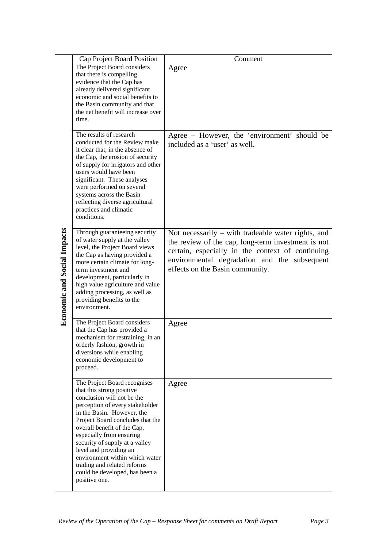|                                    | Cap Project Board Position                                                                                                                                                                                                                                                                                                                                                                                                              | Comment                                                                                                                                                                                                                                         |
|------------------------------------|-----------------------------------------------------------------------------------------------------------------------------------------------------------------------------------------------------------------------------------------------------------------------------------------------------------------------------------------------------------------------------------------------------------------------------------------|-------------------------------------------------------------------------------------------------------------------------------------------------------------------------------------------------------------------------------------------------|
|                                    | The Project Board considers<br>that there is compelling<br>evidence that the Cap has<br>already delivered significant<br>economic and social benefits to<br>the Basin community and that<br>the net benefit will increase over<br>time.                                                                                                                                                                                                 | Agree                                                                                                                                                                                                                                           |
|                                    | The results of research<br>conducted for the Review make<br>it clear that, in the absence of<br>the Cap, the erosion of security<br>of supply for irrigators and other<br>users would have been<br>significant. These analyses<br>were performed on several<br>systems across the Basin<br>reflecting diverse agricultural<br>practices and climatic<br>conditions.                                                                     | Agree – However, the 'environment' should be<br>included as a 'user' as well.                                                                                                                                                                   |
| <b>Economic and Social Impacts</b> | Through guaranteeing security<br>of water supply at the valley<br>level, the Project Board views<br>the Cap as having provided a<br>more certain climate for long-<br>term investment and<br>development, particularly in<br>high value agriculture and value<br>adding processing, as well as<br>providing benefits to the<br>environment.                                                                                             | Not necessarily – with tradeable water rights, and<br>the review of the cap, long-term investment is not<br>certain, especially in the context of continuing<br>environmental degradation and the subsequent<br>effects on the Basin community. |
|                                    | The Project Board considers<br>that the Cap has provided a<br>mechanism for restraining, in an<br>orderly fashion, growth in<br>diversions while enabling<br>economic development to<br>proceed.                                                                                                                                                                                                                                        | Agree                                                                                                                                                                                                                                           |
|                                    | The Project Board recognises<br>that this strong positive<br>conclusion will not be the<br>perception of every stakeholder<br>in the Basin. However, the<br>Project Board concludes that the<br>overall benefit of the Cap,<br>especially from ensuring<br>security of supply at a valley<br>level and providing an<br>environment within which water<br>trading and related reforms<br>could be developed, has been a<br>positive one. | Agree                                                                                                                                                                                                                                           |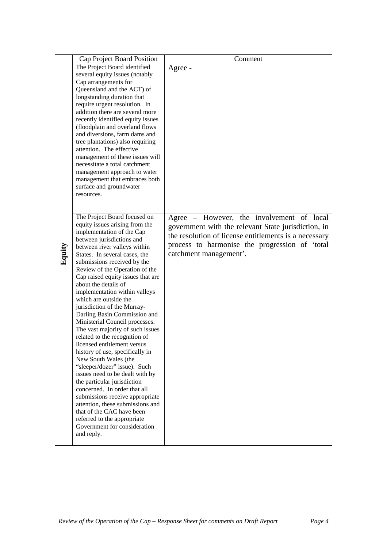|  |        | Cap Project Board Position                                          | Comment                                               |
|--|--------|---------------------------------------------------------------------|-------------------------------------------------------|
|  |        | The Project Board identified                                        | Agree -                                               |
|  |        | several equity issues (notably                                      |                                                       |
|  |        | Cap arrangements for                                                |                                                       |
|  |        | Queensland and the ACT) of                                          |                                                       |
|  |        | longstanding duration that                                          |                                                       |
|  |        | require urgent resolution. In                                       |                                                       |
|  |        | addition there are several more                                     |                                                       |
|  |        | recently identified equity issues<br>(floodplain and overland flows |                                                       |
|  |        | and diversions, farm dams and                                       |                                                       |
|  |        | tree plantations) also requiring                                    |                                                       |
|  |        | attention. The effective                                            |                                                       |
|  |        | management of these issues will                                     |                                                       |
|  |        | necessitate a total catchment                                       |                                                       |
|  |        | management approach to water                                        |                                                       |
|  |        | management that embraces both                                       |                                                       |
|  |        | surface and groundwater                                             |                                                       |
|  |        | resources.                                                          |                                                       |
|  |        |                                                                     |                                                       |
|  |        | The Project Board focused on                                        | Agree – However, the involvement of local             |
|  |        | equity issues arising from the                                      |                                                       |
|  |        | implementation of the Cap                                           | government with the relevant State jurisdiction, in   |
|  |        | between jurisdictions and                                           | the resolution of license entitlements is a necessary |
|  |        | between river valleys within                                        | process to harmonise the progression of 'total        |
|  | Equity | States. In several cases, the                                       | catchment management'.                                |
|  |        | submissions received by the                                         |                                                       |
|  |        | Review of the Operation of the                                      |                                                       |
|  |        | Cap raised equity issues that are<br>about the details of           |                                                       |
|  |        | implementation within valleys                                       |                                                       |
|  |        | which are outside the                                               |                                                       |
|  |        | jurisdiction of the Murray-                                         |                                                       |
|  |        | Darling Basin Commission and                                        |                                                       |
|  |        | Ministerial Council processes.                                      |                                                       |
|  |        | The vast majority of such issues                                    |                                                       |
|  |        | related to the recognition of                                       |                                                       |
|  |        | licensed entitlement versus                                         |                                                       |
|  |        | history of use, specifically in                                     |                                                       |
|  |        | New South Wales (the<br>"sleeper/dozer" issue). Such                |                                                       |
|  |        | issues need to be dealt with by                                     |                                                       |
|  |        | the particular jurisdiction                                         |                                                       |
|  |        | concerned. In order that all                                        |                                                       |
|  |        | submissions receive appropriate                                     |                                                       |
|  |        | attention, these submissions and                                    |                                                       |
|  |        | that of the CAC have been                                           |                                                       |
|  |        | referred to the appropriate                                         |                                                       |
|  |        | Government for consideration                                        |                                                       |
|  |        | and reply.                                                          |                                                       |
|  |        |                                                                     |                                                       |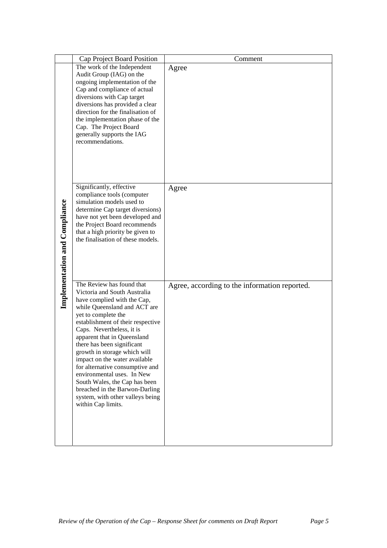|                               | Cap Project Board Position                                                                                                                                                                                                                                                                                                                                                                                                                                                                                                                    | Comment                                       |
|-------------------------------|-----------------------------------------------------------------------------------------------------------------------------------------------------------------------------------------------------------------------------------------------------------------------------------------------------------------------------------------------------------------------------------------------------------------------------------------------------------------------------------------------------------------------------------------------|-----------------------------------------------|
|                               | The work of the Independent                                                                                                                                                                                                                                                                                                                                                                                                                                                                                                                   | Agree                                         |
|                               | Audit Group (IAG) on the                                                                                                                                                                                                                                                                                                                                                                                                                                                                                                                      |                                               |
|                               | ongoing implementation of the<br>Cap and compliance of actual                                                                                                                                                                                                                                                                                                                                                                                                                                                                                 |                                               |
|                               | diversions with Cap target                                                                                                                                                                                                                                                                                                                                                                                                                                                                                                                    |                                               |
|                               | diversions has provided a clear                                                                                                                                                                                                                                                                                                                                                                                                                                                                                                               |                                               |
|                               | direction for the finalisation of                                                                                                                                                                                                                                                                                                                                                                                                                                                                                                             |                                               |
|                               | the implementation phase of the                                                                                                                                                                                                                                                                                                                                                                                                                                                                                                               |                                               |
|                               | Cap. The Project Board                                                                                                                                                                                                                                                                                                                                                                                                                                                                                                                        |                                               |
|                               | generally supports the IAG<br>recommendations.                                                                                                                                                                                                                                                                                                                                                                                                                                                                                                |                                               |
|                               |                                                                                                                                                                                                                                                                                                                                                                                                                                                                                                                                               |                                               |
|                               |                                                                                                                                                                                                                                                                                                                                                                                                                                                                                                                                               |                                               |
|                               |                                                                                                                                                                                                                                                                                                                                                                                                                                                                                                                                               |                                               |
|                               |                                                                                                                                                                                                                                                                                                                                                                                                                                                                                                                                               |                                               |
|                               | Significantly, effective                                                                                                                                                                                                                                                                                                                                                                                                                                                                                                                      | Agree                                         |
|                               | compliance tools (computer                                                                                                                                                                                                                                                                                                                                                                                                                                                                                                                    |                                               |
|                               | simulation models used to                                                                                                                                                                                                                                                                                                                                                                                                                                                                                                                     |                                               |
|                               | determine Cap target diversions)                                                                                                                                                                                                                                                                                                                                                                                                                                                                                                              |                                               |
|                               | have not yet been developed and<br>the Project Board recommends                                                                                                                                                                                                                                                                                                                                                                                                                                                                               |                                               |
|                               | that a high priority be given to                                                                                                                                                                                                                                                                                                                                                                                                                                                                                                              |                                               |
|                               | the finalisation of these models.                                                                                                                                                                                                                                                                                                                                                                                                                                                                                                             |                                               |
|                               |                                                                                                                                                                                                                                                                                                                                                                                                                                                                                                                                               |                                               |
|                               |                                                                                                                                                                                                                                                                                                                                                                                                                                                                                                                                               |                                               |
|                               |                                                                                                                                                                                                                                                                                                                                                                                                                                                                                                                                               |                                               |
| Implementation and Compliance | The Review has found that<br>Victoria and South Australia<br>have complied with the Cap,<br>while Queensland and ACT are<br>yet to complete the<br>establishment of their respective<br>Caps. Nevertheless, it is<br>apparent that in Queensland<br>there has been significant<br>growth in storage which will<br>impact on the water available<br>for alternative consumptive and<br>environmental uses. In New<br>South Wales, the Cap has been<br>breached in the Barwon-Darling<br>system, with other valleys being<br>within Cap limits. | Agree, according to the information reported. |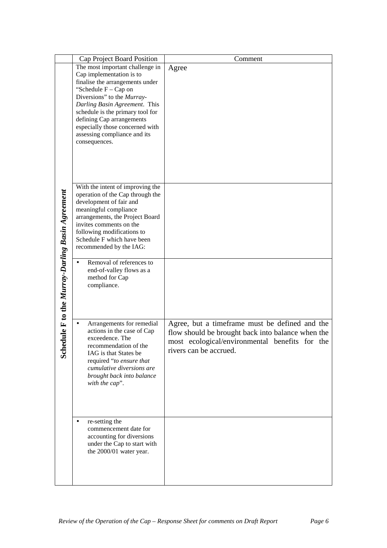|                                              | Cap Project Board Position                                                                                                                                                                                                                                                                                                                                             | Comment                                                                                                                                                                         |
|----------------------------------------------|------------------------------------------------------------------------------------------------------------------------------------------------------------------------------------------------------------------------------------------------------------------------------------------------------------------------------------------------------------------------|---------------------------------------------------------------------------------------------------------------------------------------------------------------------------------|
|                                              | The most important challenge in<br>Cap implementation is to<br>finalise the arrangements under<br>"Schedule $F - Cap$ on<br>Diversions" to the Murray-<br>Darling Basin Agreement. This<br>schedule is the primary tool for<br>defining Cap arrangements<br>especially those concerned with<br>assessing compliance and its<br>consequences.                           | Agree                                                                                                                                                                           |
| dule F to the Murray-Darling Basin Agreement | With the intent of improving the<br>operation of the Cap through the<br>development of fair and<br>meaningful compliance<br>arrangements, the Project Board<br>invites comments on the<br>following modifications to<br>Schedule F which have been<br>recommended by the IAG:<br>Removal of references to<br>end-of-valley flows as a<br>method for Cap<br>compliance. |                                                                                                                                                                                 |
| Sch                                          | Arrangements for remedial<br>$\bullet$<br>actions in the case of Cap<br>exceedence. The<br>recommendation of the<br>IAG is that States be<br>required "to ensure that<br>cumulative diversions are<br>brought back into balance<br>with the cap".<br>re-setting the                                                                                                    | Agree, but a timeframe must be defined and the<br>flow should be brought back into balance when the<br>most ecological/environmental benefits for the<br>rivers can be accrued. |
|                                              | commencement date for<br>accounting for diversions<br>under the Cap to start with<br>the 2000/01 water year.                                                                                                                                                                                                                                                           |                                                                                                                                                                                 |